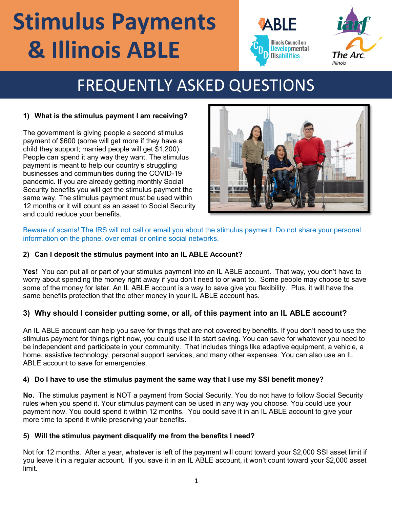# **Stimulus Payments & Illinois ABLE**





## FREQUENTLY ASKED QUESTIONS

#### **1) What is the stimulus payment I am receiving?**

The government is giving people a second stimulus payment of \$600 (some will get more if they have a child they support; married people will get \$1,200). People can spend it any way they want. The stimulus payment is meant to help our country's struggling businesses and communities during the COVID-19 pandemic. If you are already getting monthly Social Security benefits you will get the stimulus payment the same way. The stimulus payment must be used within 12 months or it will count as an asset to Social Security and could reduce your benefits.



Beware of scams! The IRS will not call or email you about the stimulus payment. Do not share your personal information on the phone, over email or online social networks.

#### **2) Can I deposit the stimulus payment into an IL ABLE Account?**

**Yes!** You can put all or part of your stimulus payment into an IL ABLE account. That way, you don't have to worry about spending the money right away if you don't need to or want to. Some people may choose to save some of the money for later. An IL ABLE account is a way to save give you flexibility. Plus, it will have the same benefits protection that the other money in your IL ABLE account has.

#### **3) Why should I consider putting some, or all, of this payment into an IL ABLE account?**

An IL ABLE account can help you save for things that are not covered by benefits. If you don't need to use the stimulus payment for things right now, you could use it to start saving. You can save for whatever you need to be independent and participate in your community. That includes things like adaptive equipment, a vehicle, a home, assistive technology, personal support services, and many other expenses. You can also use an IL ABLE account to save for emergencies.

#### **4) Do I have to use the stimulus payment the same way that I use my SSI benefit money?**

**No.** The stimulus payment is NOT a payment from Social Security. You do not have to follow Social Security rules when you spend it. Your stimulus payment can be used in any way you choose. You could use your payment now. You could spend it within 12 months. You could save it in an IL ABLE account to give your more time to spend it while preserving your benefits.

#### **5) Will the stimulus payment disqualify me from the benefits I need?**

Not for 12 months. After a year, whatever is left of the payment will count toward your \$2,000 SSI asset limit if you leave it in a regular account. If you save it in an IL ABLE account, it won't count toward your \$2,000 asset limit.